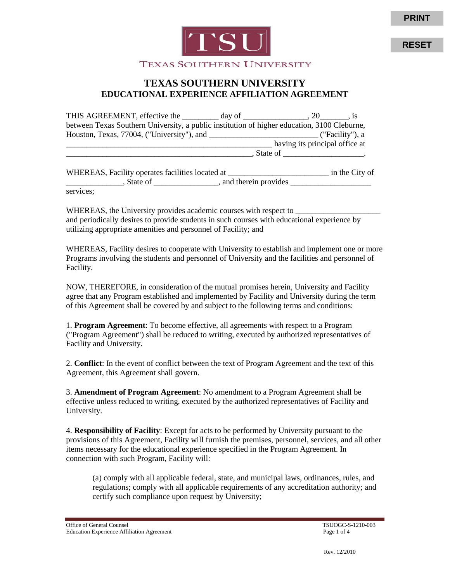



**RESET**

## **TEXAS SOUTHERN UNIVERSITY EDUCATIONAL EXPERIENCE AFFILIATION AGREEMENT**

| between Texas Southern University, a public institution of higher education, 3100 Cleburne, |  |                                          |                         |  |
|---------------------------------------------------------------------------------------------|--|------------------------------------------|-------------------------|--|
|                                                                                             |  |                                          |                         |  |
|                                                                                             |  | having its principal office at           |                         |  |
|                                                                                             |  | $S$ State of $\frac{1}{1-\frac{1}{2}}$ . |                         |  |
| WHEREAS, Facility operates facilities located at _______________________________            |  |                                          | $\equiv$ in the City of |  |
|                                                                                             |  |                                          |                         |  |

services;

WHEREAS, the University provides academic courses with respect to and periodically desires to provide students in such courses with educational experience by utilizing appropriate amenities and personnel of Facility; and

WHEREAS, Facility desires to cooperate with University to establish and implement one or more Programs involving the students and personnel of University and the facilities and personnel of Facility.

NOW, THEREFORE, in consideration of the mutual promises herein, University and Facility agree that any Program established and implemented by Facility and University during the term of this Agreement shall be covered by and subject to the following terms and conditions:

1. **Program Agreement** : To become effective, all agreements with respect to a Program ("Program Agreement") shall be reduced to writing, executed by authorized representatives of Facility and University.

2. **Conflict** : In the event of conflict between the text of Program Agreement and the text of this Agreement, this Agreement shall govern.

3. **Amendment of Program Agreement** : No amendment to a Program Agreement shall be effective unless reduced to writing, executed by the authorized representatives of Facility and University.

4. **Responsibility of Facility** : Except for acts to be performed by University pursuant to the provisions of this Agreement, Facility will furnish the premises, personnel, services, and all other items necessary for the educational experience specified in the Program Agreement. In connection with such Program, Facility will:

(a) comply with all applicable federal, state, and municipal laws, ordinances, rules, and regulations; comply with all applicable requirements of any accreditation authority; and certify such compliance upon request by University;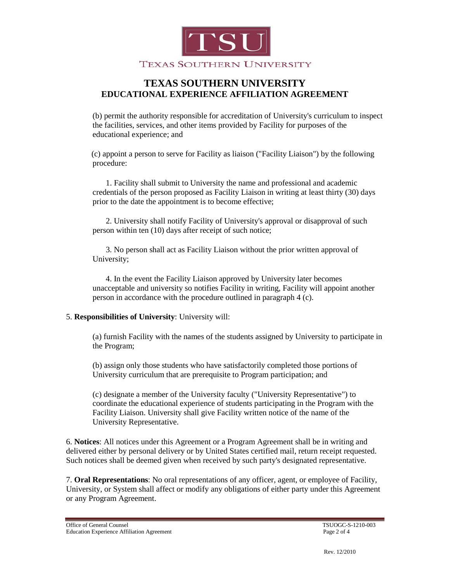

## **TEXAS SOUTHERN UNIVERSITY EDUCATIONAL EXPERIENCE AFFILIATION AGREEMENT**

(b) permit the authority responsible for accreditation of University's curriculum to inspect the facilities, services, and other items provided by Facility for purposes of the educational experience; and

 (c) appoint a person to serve for Facility as liaison ("Facility Liaison") by the following procedure:

1. Facility shall submit to University the name and professional and academic credentials of the person proposed as Facility Liaison in writing at least thirty (30) days prior to the date the appointment is to become effective;

2. University shall notify Facility of University's approval or disapproval of such person within ten (10) days after receipt of such notice;

3. No person shall act as Facility Liaison without the prior written approval of University;

4. In the event the Facility Liaison approved by University later becomes unacceptable and university so notifies Facility in writing, Facility will appoint another person in accordance with the procedure outlined in paragraph 4 (c).

#### 5. **Responsibilities of University** : University will:

(a) furnish Facility with the names of the students assigned by University to participate in the Program;

(b) assign only those students who have satisfactorily completed those portions of University curriculum that are prerequisite to Program participation; and

(c) designate a member of the University faculty ("University Representative") to coordinate the educational experience of students participating in the Program with the Facility Liaison. University shall give Facility written notice of the name of the University Representative.

6. **Notices** : All notices under this Agreement or a Program Agreement shall be in writing and delivered either by personal delivery or by United States certified mail, return receipt requested. Such notices shall be deemed given when received by such party's designated representative.

7. **Oral Representations**: No oral representations of any officer, agent, or employee of Facility, University, or System shall affect or modify any obligations of either party under this Agreement or any Program Agreement.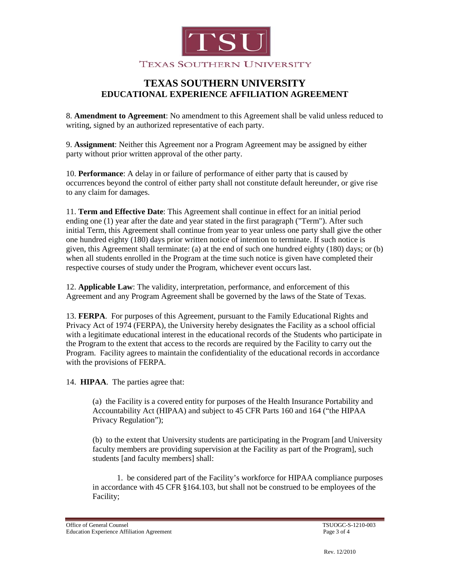

# **TEXAS SOUTHERN UNIVERSITY EDUCATIONAL EXPERIENCE AFFILIATION AGREEMENT**

8. **Amendment to Agreement** : No amendment to this Agreement shall be valid unless reduced to writing, signed by an authorized representative of each party.

9. **Assignment** : Neither this Agreement nor a Program Agreement may be assigned by either party without prior written approval of the other party.

10. **Performance** : A delay in or failure of performance of either party that is caused by occurrences beyond the control of either party shall not constitute default hereunder, or give rise to any claim for damages.

11. **Term and Effective Date** : This Agreement shall continue in effect for an initial period ending one (1) year after the date and year stated in the first paragraph ("Term"). After such initial Term, this Agreement shall continue from year to year unless one party shall give the other one hundred eighty (180) days prior written notice of intention to terminate. If such notice is given, this Agreement shall terminate: (a) at the end of such one hundred eighty (180) days; or (b) when all students enrolled in the Program at the time such notice is given have completed their respective courses of study under the Program, whichever event occurs last.

12. **Applicable Law**: The validity, interpretation, performance, and enforcement of this Agreement and any Program Agreement shall be governed by the laws of the State of Texas.

13. **FERPA** . For purposes of this Agreement, pursuant to the Family Educational Rights and Privacy Act of 1974 (FERPA), the University hereby designates the Facility as a school official with a legitimate educational interest in the educational records of the Students who participate in the Program to the extent that access to the records are required by the Facility to carry out the Program. Facility agrees to maintain the confidentiality of the educational records in accordance with the provisions of FERPA.

14. **HIPAA**. The parties agree that:

(a) the Facility is a covered entity for purposes of the Health Insurance Portability and Accountability Act (HIPAA) and subject to 45 CFR Parts 160 and 164 ("the HIPAA Privacy Regulation");

(b) to the extent that University students are participating in the Program [and University faculty members are providing supervision at the Facility as part of the Program], such students [and faculty members] shall:

 1. be considered part of the Facility's workforce for HIPAA compliance purposes in accordance with 45 CFR §164.103, but shall not be construed to be employees of the Facility;